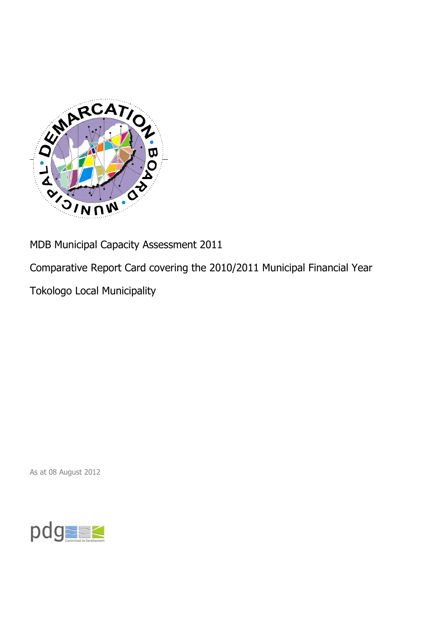

MDB Municipal Capacity Assessment 2011

Comparative Report Card covering the 2010/2011 Municipal Financial Year

Tokologo Local Municipality

As at 08 August 2012

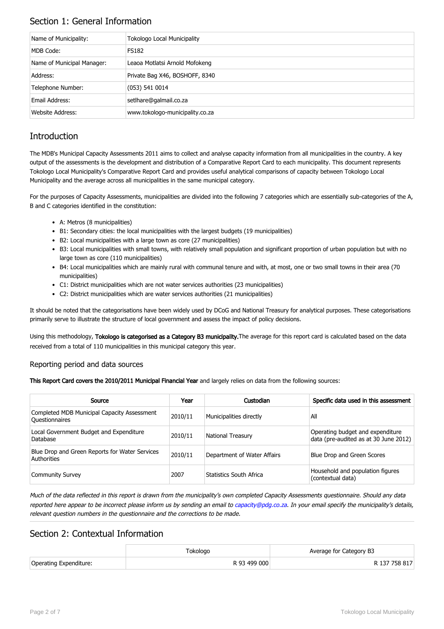## Section 1: General Information

| Name of Municipality:      | <b>Tokologo Local Municipality</b> |
|----------------------------|------------------------------------|
| MDB Code:                  | <b>FS182</b>                       |
| Name of Municipal Manager: | Leaoa Motlatsi Arnold Mofokeng     |
| Address:                   | Private Bag X46, BOSHOFF, 8340     |
| Telephone Number:          | (053) 541 0014                     |
| Email Address:             | setlhare@galmail.co.za             |
| <b>Website Address:</b>    | www.tokologo-municipality.co.za    |

## **Introduction**

The MDB's Municipal Capacity Assessments 2011 aims to collect and analyse capacity information from all municipalities in the country. A key output of the assessments is the development and distribution of a Comparative Report Card to each municipality. This document represents Tokologo Local Municipality's Comparative Report Card and provides useful analytical comparisons of capacity between Tokologo Local Municipality and the average across all municipalities in the same municipal category.

For the purposes of Capacity Assessments, municipalities are divided into the following 7 categories which are essentially sub-categories of the A, B and C categories identified in the constitution:

- A: Metros (8 municipalities)
- B1: Secondary cities: the local municipalities with the largest budgets (19 municipalities)
- B2: Local municipalities with a large town as core (27 municipalities)
- B3: Local municipalities with small towns, with relatively small population and significant proportion of urban population but with no large town as core (110 municipalities)
- B4: Local municipalities which are mainly rural with communal tenure and with, at most, one or two small towns in their area (70 municipalities)
- C1: District municipalities which are not water services authorities (23 municipalities)
- C2: District municipalities which are water services authorities (21 municipalities)

It should be noted that the categorisations have been widely used by DCoG and National Treasury for analytical purposes. These categorisations primarily serve to illustrate the structure of local government and assess the impact of policy decisions.

Using this methodology, Tokologo is categorised as a Category B3 municipality. The average for this report card is calculated based on the data received from a total of 110 municipalities in this municipal category this year.

#### Reporting period and data sources

This Report Card covers the 2010/2011 Municipal Financial Year and largely relies on data from the following sources:

| Source                                                               | Year    | Custodian                   | Specific data used in this assessment                                     |
|----------------------------------------------------------------------|---------|-----------------------------|---------------------------------------------------------------------------|
| Completed MDB Municipal Capacity Assessment<br><b>Ouestionnaires</b> | 2010/11 | Municipalities directly     | All                                                                       |
| Local Government Budget and Expenditure<br>Database                  | 2010/11 | <b>National Treasury</b>    | Operating budget and expenditure<br>data (pre-audited as at 30 June 2012) |
| Blue Drop and Green Reports for Water Services<br>Authorities        | 2010/11 | Department of Water Affairs | Blue Drop and Green Scores                                                |
| <b>Community Survey</b>                                              | 2007    | Statistics South Africa     | Household and population figures<br>(contextual data)                     |

Much of the data reflected in this report is drawn from the municipality's own completed Capacity Assessments questionnaire. Should any data reported here appear to be incorrect please inform us by sending an email to [capacity@pdg.co.za](mailto:capacity@pdg.co.za). In your email specify the municipality's details, relevant question numbers in the questionnaire and the corrections to be made.

### Section 2: Contextual Information

|                        | Tokologo     | Average for Category B3 |
|------------------------|--------------|-------------------------|
| Operating Expenditure: | R 93 499 000 | R 137 758 817           |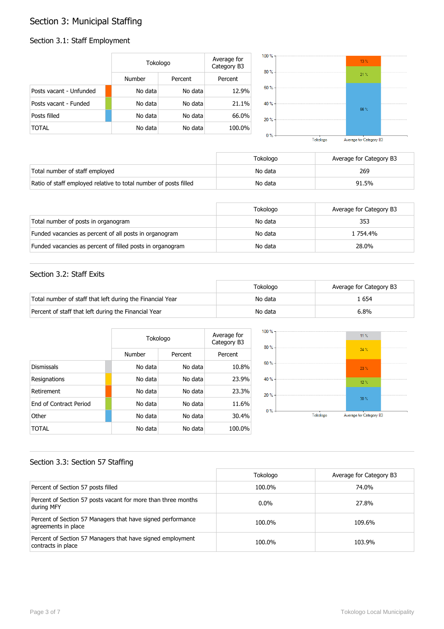# Section 3: Municipal Staffing

#### Section 3.1: Staff Employment

|                         | Tokologo |         | Average for<br>Category B3 |
|-------------------------|----------|---------|----------------------------|
|                         | Number   | Percent | Percent                    |
| Posts vacant - Unfunded | No data  | No data | 12.9%                      |
| Posts vacant - Funded   | No data  | No data | 21.1%                      |
| Posts filled            | No data  | No data | 66.0%                      |
| TOTAL                   | No data  | No data | 100.0%                     |



|                                                                  | Tokologo | Average for Category B3 |
|------------------------------------------------------------------|----------|-------------------------|
| Total number of staff employed                                   | No data  | 269                     |
| Ratio of staff employed relative to total number of posts filled | No data  | 91.5%                   |

|                                                           | Tokologo | Average for Category B3 |
|-----------------------------------------------------------|----------|-------------------------|
| Total number of posts in organogram                       | No data  | 353                     |
| Funded vacancies as percent of all posts in organogram    | No data  | 1 754.4%                |
| Funded vacancies as percent of filled posts in organogram | No data  | 28.0%                   |

#### Section 3.2: Staff Exits

|                                                           | Tokologo | Average for Category B3 |
|-----------------------------------------------------------|----------|-------------------------|
| Total number of staff that left during the Financial Year | No data  | . 654 ء                 |
| Percent of staff that left during the Financial Year      | No data  | 6.8%                    |

|                               | Tokologo |         | Average for<br>Category B3 |
|-------------------------------|----------|---------|----------------------------|
|                               | Number   | Percent | Percent                    |
| <b>Dismissals</b>             | No data  | No data | 10.8%                      |
| Resignations                  | No data  | No data | 23.9%                      |
| Retirement                    | No data  | No data | 23.3%                      |
| <b>Fnd of Contract Period</b> | No data  | No data | 11.6%                      |
| Other                         | No data  | No data | 30.4%                      |
| TOTAL                         | No data  | No data | 100.0%                     |



#### Section 3.3: Section 57 Staffing

|                                                                                    | Tokologo | Average for Category B3 |
|------------------------------------------------------------------------------------|----------|-------------------------|
| Percent of Section 57 posts filled                                                 | 100.0%   | 74.0%                   |
| Percent of Section 57 posts vacant for more than three months<br>during MFY        | $0.0\%$  | 27.8%                   |
| Percent of Section 57 Managers that have signed performance<br>agreements in place | 100.0%   | 109.6%                  |
| Percent of Section 57 Managers that have signed employment<br>contracts in place   | 100.0%   | 103.9%                  |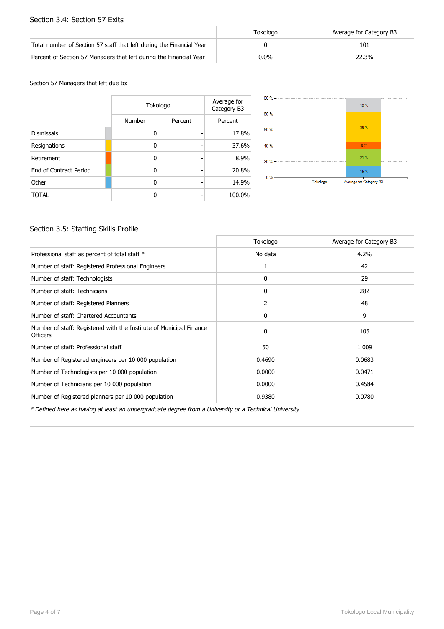#### Section 3.4: Section 57 Exits

|                                                                      | Tokologo | Average for Category B3 |
|----------------------------------------------------------------------|----------|-------------------------|
| Total number of Section 57 staff that left during the Financial Year |          | 101                     |
| Percent of Section 57 Managers that left during the Financial Year   | $0.0\%$  | 22.3%                   |

Section 57 Managers that left due to:

|                        | Tokologo |         | Average for<br>Category B3 |
|------------------------|----------|---------|----------------------------|
|                        | Number   | Percent | Percent                    |
| <b>Dismissals</b>      | n        |         | 17.8%                      |
| Resignations           | n        |         | 37.6%                      |
| Retirement             | 0        |         | 8.9%                       |
| End of Contract Period | ŋ        |         | 20.8%                      |
| Other                  | n        |         | 14.9%                      |
| <b>TOTAL</b>           |          |         | 100.0%                     |



#### Section 3.5: Staffing Skills Profile

|                                                                                        | Tokologo     | Average for Category B3 |
|----------------------------------------------------------------------------------------|--------------|-------------------------|
| Professional staff as percent of total staff *                                         | No data      | 4.2%                    |
| Number of staff: Registered Professional Engineers                                     | 1            | 42                      |
| Number of staff: Technologists                                                         | 0            | 29                      |
| Number of staff: Technicians                                                           | $\mathbf{0}$ | 282                     |
| Number of staff: Registered Planners                                                   | 2            | 48                      |
| Number of staff: Chartered Accountants                                                 | 0            | 9                       |
| Number of staff: Registered with the Institute of Municipal Finance<br><b>Officers</b> | $\Omega$     | 105                     |
| Number of staff: Professional staff                                                    | 50           | 1 0 0 9                 |
| Number of Registered engineers per 10 000 population                                   | 0.4690       | 0.0683                  |
| Number of Technologists per 10 000 population                                          | 0.0000       | 0.0471                  |
| Number of Technicians per 10 000 population                                            | 0.0000       | 0.4584                  |
| Number of Registered planners per 10 000 population                                    | 0.9380       | 0.0780                  |

\* Defined here as having at least an undergraduate degree from a University or a Technical University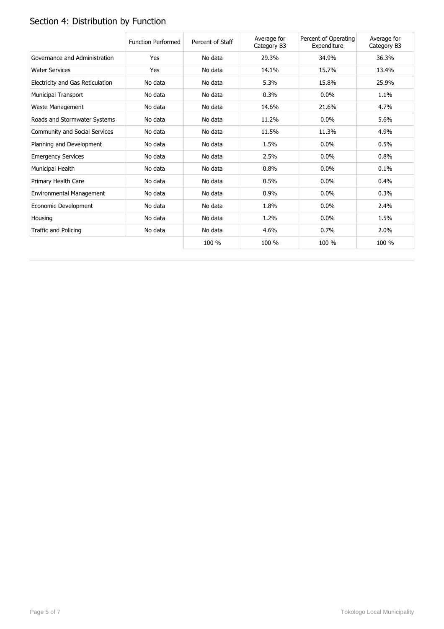# Section 4: Distribution by Function

|                                  | <b>Function Performed</b> | Percent of Staff | Average for<br>Category B3 | Percent of Operating<br>Expenditure | Average for<br>Category B3 |
|----------------------------------|---------------------------|------------------|----------------------------|-------------------------------------|----------------------------|
| Governance and Administration    | Yes                       | No data          | 29.3%                      | 34.9%                               | 36.3%                      |
| <b>Water Services</b>            | Yes                       | No data          | 14.1%                      | 15.7%                               | 13.4%                      |
| Electricity and Gas Reticulation | No data                   | No data          | 5.3%                       | 15.8%                               | 25.9%                      |
| <b>Municipal Transport</b>       | No data                   | No data          | 0.3%                       | $0.0\%$                             | 1.1%                       |
| Waste Management                 | No data                   | No data          | 14.6%                      | 21.6%                               | 4.7%                       |
| Roads and Stormwater Systems     | No data                   | No data          | 11.2%                      | 0.0%                                | 5.6%                       |
| Community and Social Services    | No data                   | No data          | 11.5%                      | 11.3%                               | 4.9%                       |
| Planning and Development         | No data                   | No data          | 1.5%                       | 0.0%                                | 0.5%                       |
| <b>Emergency Services</b>        | No data                   | No data          | 2.5%                       | 0.0%                                | 0.8%                       |
| Municipal Health                 | No data                   | No data          | 0.8%                       | $0.0\%$                             | 0.1%                       |
| Primary Health Care              | No data                   | No data          | 0.5%                       | $0.0\%$                             | 0.4%                       |
| Environmental Management         | No data                   | No data          | 0.9%                       | $0.0\%$                             | 0.3%                       |
| Economic Development             | No data                   | No data          | 1.8%                       | 0.0%                                | 2.4%                       |
| Housing                          | No data                   | No data          | 1.2%                       | $0.0\%$                             | 1.5%                       |
| Traffic and Policing             | No data                   | No data          | 4.6%                       | 0.7%                                | 2.0%                       |
|                                  |                           | 100 %            | 100 %                      | 100 %                               | 100 %                      |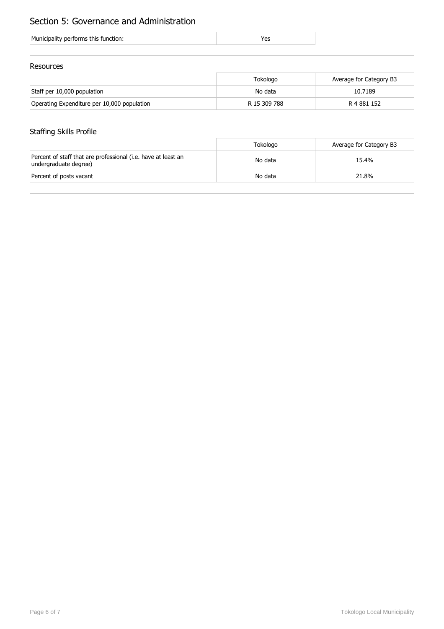## Section 5: Governance and Administration

| Municipality performs this function: |  |
|--------------------------------------|--|
|--------------------------------------|--|

#### Resources

|                                             | Tokologo     | Average for Category B3 |
|---------------------------------------------|--------------|-------------------------|
| Staff per 10,000 population                 | No data      | 10.7189                 |
| Operating Expenditure per 10,000 population | R 15 309 788 | R 4 881 152             |

## Staffing Skills Profile

|                                                                                        | Tokologo | Average for Category B3 |
|----------------------------------------------------------------------------------------|----------|-------------------------|
| Percent of staff that are professional (i.e. have at least an<br>undergraduate degree) | No data  | 15.4%                   |
| Percent of posts vacant                                                                | No data  | 21.8%                   |